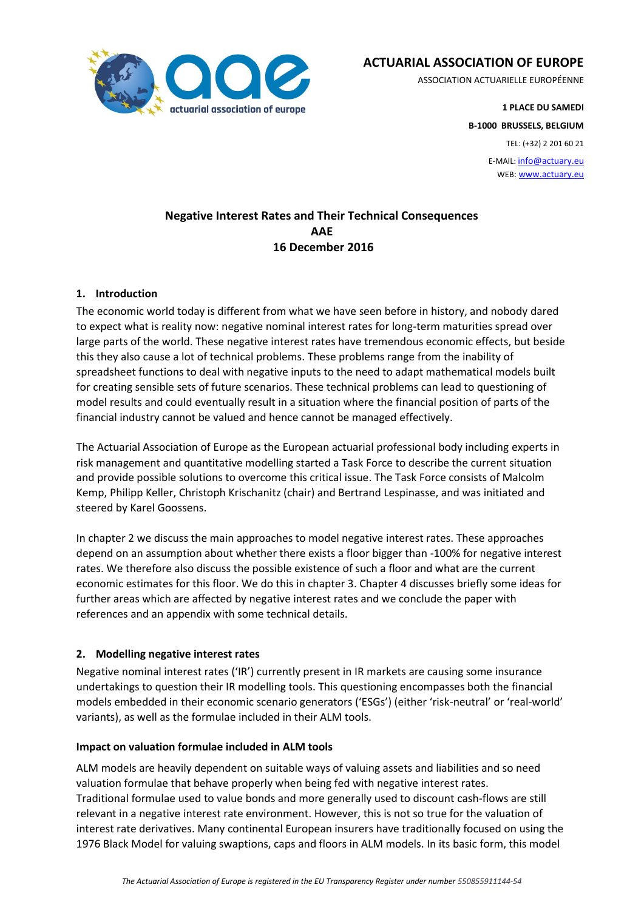

**ACTUARIAL ASSOCIATION OF EUROPE**

ASSOCIATION ACTUARIELLE EUROPÉENNE

**1 PLACE DU SAMEDI B-1000 BRUSSELS, BELGIUM**

TEL: (+32) 2 201 60 21

E-MAIL: info@actuary.eu WEB: www.actuary.eu

# **Negative Interest Rates and Their Technical Consequences AAE 16 December 2016**

# **1. Introduction**

The economic world today is different from what we have seen before in history, and nobody dared to expect what is reality now: negative nominal interest rates for long-term maturities spread over large parts of the world. These negative interest rates have tremendous economic effects, but beside this they also cause a lot of technical problems. These problems range from the inability of spreadsheet functions to deal with negative inputs to the need to adapt mathematical models built for creating sensible sets of future scenarios. These technical problems can lead to questioning of model results and could eventually result in a situation where the financial position of parts of the financial industry cannot be valued and hence cannot be managed effectively.

The Actuarial Association of Europe as the European actuarial professional body including experts in risk management and quantitative modelling started a Task Force to describe the current situation and provide possible solutions to overcome this critical issue. The Task Force consists of Malcolm Kemp, Philipp Keller, Christoph Krischanitz (chair) and Bertrand Lespinasse, and was initiated and steered by Karel Goossens.

In chapter 2 we discuss the main approaches to model negative interest rates. These approaches depend on an assumption about whether there exists a floor bigger than -100% for negative interest rates. We therefore also discuss the possible existence of such a floor and what are the current economic estimates for this floor. We do this in chapter 3. Chapter 4 discusses briefly some ideas for further areas which are affected by negative interest rates and we conclude the paper with references and an appendix with some technical details.

#### **2. Modelling negative interest rates**

Negative nominal interest rates ('IR') currently present in IR markets are causing some insurance undertakings to question their IR modelling tools. This questioning encompasses both the financial models embedded in their economic scenario generators ('ESGs') (either 'risk-neutral' or 'real-world' variants), as well as the formulae included in their ALM tools.

#### **Impact on valuation formulae included in ALM tools**

ALM models are heavily dependent on suitable ways of valuing assets and liabilities and so need valuation formulae that behave properly when being fed with negative interest rates. Traditional formulae used to value bonds and more generally used to discount cash-flows are still relevant in a negative interest rate environment. However, this is not so true for the valuation of interest rate derivatives. Many continental European insurers have traditionally focused on using the 1976 Black Model for valuing swaptions, caps and floors in ALM models. In its basic form, this model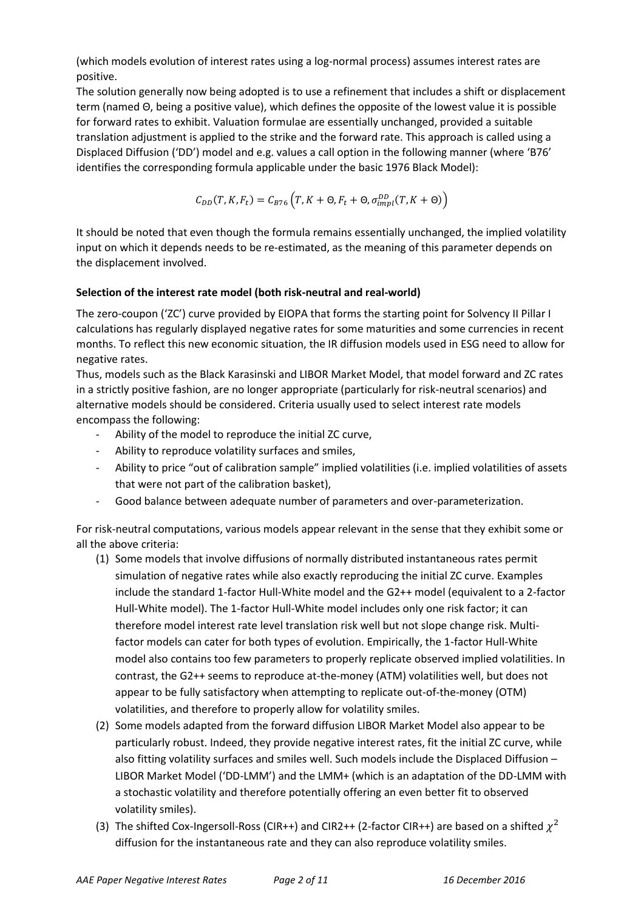(which models evolution of interest rates using a log-normal process) assumes interest rates are positive.

The solution generally now being adopted is to use a refinement that includes a shift or displacement term (named Θ, being a positive value), which defines the opposite of the lowest value it is possible for forward rates to exhibit. Valuation formulae are essentially unchanged, provided a suitable translation adjustment is applied to the strike and the forward rate. This approach is called using a Displaced Diffusion ('DD') model and e.g. values a call option in the following manner (where 'B76' identifies the corresponding formula applicable under the basic 1976 Black Model):

$$
C_{DD}(T, K, F_t) = C_{B76}\left(T, K + \Theta, F_t + \Theta, \sigma_{impl}^{DD}(T, K + \Theta)\right)
$$

It should be noted that even though the formula remains essentially unchanged, the implied volatility input on which it depends needs to be re-estimated, as the meaning of this parameter depends on the displacement involved.

#### **Selection of the interest rate model (both risk-neutral and real-world)**

The zero-coupon ('ZC') curve provided by EIOPA that forms the starting point for Solvency II Pillar I calculations has regularly displayed negative rates for some maturities and some currencies in recent months. To reflect this new economic situation, the IR diffusion models used in ESG need to allow for negative rates.

Thus, models such as the Black Karasinski and LIBOR Market Model, that model forward and ZC rates in a strictly positive fashion, are no longer appropriate (particularly for risk-neutral scenarios) and alternative models should be considered. Criteria usually used to select interest rate models encompass the following:

- Ability of the model to reproduce the initial ZC curve,
- Ability to reproduce volatility surfaces and smiles,
- Ability to price "out of calibration sample" implied volatilities (i.e. implied volatilities of assets that were not part of the calibration basket),
- Good balance between adequate number of parameters and over-parameterization.

For risk-neutral computations, various models appear relevant in the sense that they exhibit some or all the above criteria:

- (1) Some models that involve diffusions of normally distributed instantaneous rates permit simulation of negative rates while also exactly reproducing the initial ZC curve. Examples include the standard 1-factor Hull-White model and the G2++ model (equivalent to a 2-factor Hull-White model). The 1-factor Hull-White model includes only one risk factor; it can therefore model interest rate level translation risk well but not slope change risk. Multifactor models can cater for both types of evolution. Empirically, the 1-factor Hull-White model also contains too few parameters to properly replicate observed implied volatilities. In contrast, the G2++ seems to reproduce at-the-money (ATM) volatilities well, but does not appear to be fully satisfactory when attempting to replicate out-of-the-money (OTM) volatilities, and therefore to properly allow for volatility smiles.
- (2) Some models adapted from the forward diffusion LIBOR Market Model also appear to be particularly robust. Indeed, they provide negative interest rates, fit the initial ZC curve, while also fitting volatility surfaces and smiles well. Such models include the Displaced Diffusion – LIBOR Market Model ('DD-LMM') and the LMM+ (which is an adaptation of the DD-LMM with a stochastic volatility and therefore potentially offering an even better fit to observed volatility smiles).
- (3) The shifted Cox-Ingersoll-Ross (CIR++) and CIR2++ (2-factor CIR++) are based on a shifted  $\chi^2$ diffusion for the instantaneous rate and they can also reproduce volatility smiles.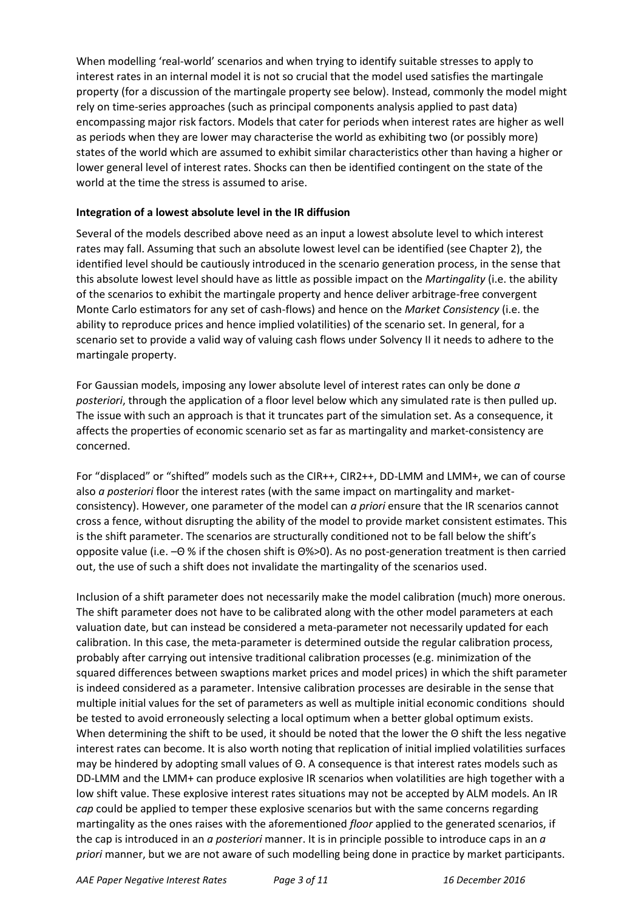When modelling 'real-world' scenarios and when trying to identify suitable stresses to apply to interest rates in an internal model it is not so crucial that the model used satisfies the martingale property (for a discussion of the martingale property see below). Instead, commonly the model might rely on time-series approaches (such as principal components analysis applied to past data) encompassing major risk factors. Models that cater for periods when interest rates are higher as well as periods when they are lower may characterise the world as exhibiting two (or possibly more) states of the world which are assumed to exhibit similar characteristics other than having a higher or lower general level of interest rates. Shocks can then be identified contingent on the state of the world at the time the stress is assumed to arise.

#### **Integration of a lowest absolute level in the IR diffusion**

Several of the models described above need as an input a lowest absolute level to which interest rates may fall. Assuming that such an absolute lowest level can be identified (see Chapter 2), the identified level should be cautiously introduced in the scenario generation process, in the sense that this absolute lowest level should have as little as possible impact on the *Martingality* (i.e. the ability of the scenarios to exhibit the martingale property and hence deliver arbitrage-free convergent Monte Carlo estimators for any set of cash-flows) and hence on the *Market Consistency* (i.e. the ability to reproduce prices and hence implied volatilities) of the scenario set. In general, for a scenario set to provide a valid way of valuing cash flows under Solvency II it needs to adhere to the martingale property.

For Gaussian models, imposing any lower absolute level of interest rates can only be done *a posteriori*, through the application of a floor level below which any simulated rate is then pulled up. The issue with such an approach is that it truncates part of the simulation set. As a consequence, it affects the properties of economic scenario set as far as martingality and market-consistency are concerned.

For "displaced" or "shifted" models such as the CIR++, CIR2++, DD-LMM and LMM+, we can of course also *a posteriori* floor the interest rates (with the same impact on martingality and marketconsistency). However, one parameter of the model can *a priori* ensure that the IR scenarios cannot cross a fence, without disrupting the ability of the model to provide market consistent estimates. This is the shift parameter. The scenarios are structurally conditioned not to be fall below the shift's opposite value (i.e. –Θ % if the chosen shift is Θ%>0). As no post-generation treatment is then carried out, the use of such a shift does not invalidate the martingality of the scenarios used.

Inclusion of a shift parameter does not necessarily make the model calibration (much) more onerous. The shift parameter does not have to be calibrated along with the other model parameters at each valuation date, but can instead be considered a meta-parameter not necessarily updated for each calibration. In this case, the meta-parameter is determined outside the regular calibration process, probably after carrying out intensive traditional calibration processes (e.g. minimization of the squared differences between swaptions market prices and model prices) in which the shift parameter is indeed considered as a parameter. Intensive calibration processes are desirable in the sense that multiple initial values for the set of parameters as well as multiple initial economic conditions should be tested to avoid erroneously selecting a local optimum when a better global optimum exists. When determining the shift to be used, it should be noted that the lower the Θ shift the less negative interest rates can become. It is also worth noting that replication of initial implied volatilities surfaces may be hindered by adopting small values of Θ. A consequence is that interest rates models such as DD-LMM and the LMM+ can produce explosive IR scenarios when volatilities are high together with a low shift value. These explosive interest rates situations may not be accepted by ALM models. An IR *cap* could be applied to temper these explosive scenarios but with the same concerns regarding martingality as the ones raises with the aforementioned *floor* applied to the generated scenarios, if the cap is introduced in an *a posteriori* manner. It is in principle possible to introduce caps in an *a priori* manner, but we are not aware of such modelling being done in practice by market participants.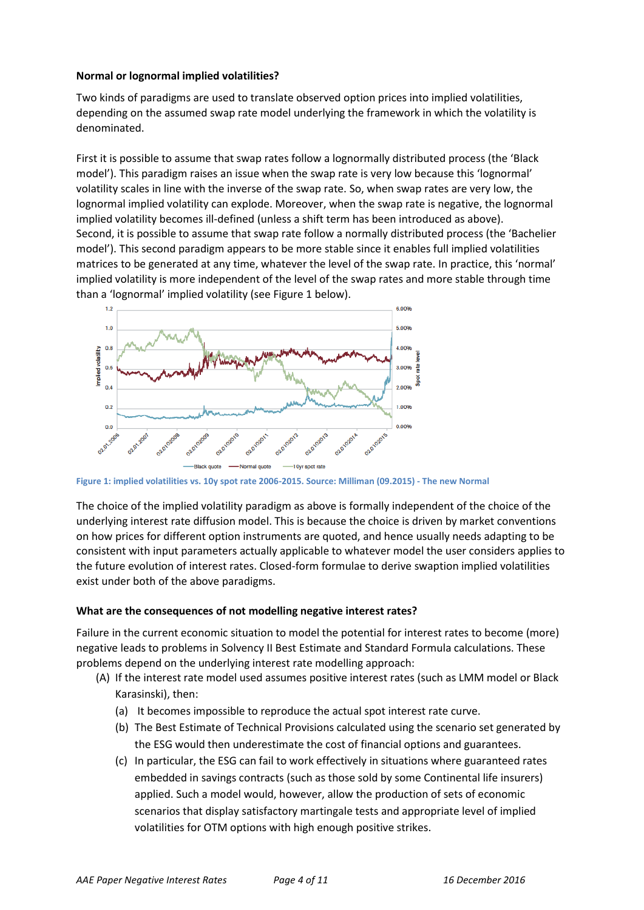#### **Normal or lognormal implied volatilities?**

Two kinds of paradigms are used to translate observed option prices into implied volatilities, depending on the assumed swap rate model underlying the framework in which the volatility is denominated.

First it is possible to assume that swap rates follow a lognormally distributed process (the 'Black model'). This paradigm raises an issue when the swap rate is very low because this 'lognormal' volatility scales in line with the inverse of the swap rate. So, when swap rates are very low, the lognormal implied volatility can explode. Moreover, when the swap rate is negative, the lognormal implied volatility becomes ill-defined (unless a shift term has been introduced as above). Second, it is possible to assume that swap rate follow a normally distributed process (the 'Bachelier model'). This second paradigm appears to be more stable since it enables full implied volatilities matrices to be generated at any time, whatever the level of the swap rate. In practice, this 'normal' implied volatility is more independent of the level of the swap rates and more stable through time than a 'lognormal' implied volatility (see Figure 1 below).



**Figure 1: implied volatilities vs. 10y spot rate 2006-2015. Source: Milliman (09.2015) - The new Normal**

The choice of the implied volatility paradigm as above is formally independent of the choice of the underlying interest rate diffusion model. This is because the choice is driven by market conventions on how prices for different option instruments are quoted, and hence usually needs adapting to be consistent with input parameters actually applicable to whatever model the user considers applies to the future evolution of interest rates. Closed-form formulae to derive swaption implied volatilities exist under both of the above paradigms.

# **What are the consequences of not modelling negative interest rates?**

Failure in the current economic situation to model the potential for interest rates to become (more) negative leads to problems in Solvency II Best Estimate and Standard Formula calculations. These problems depend on the underlying interest rate modelling approach:

- (A) If the interest rate model used assumes positive interest rates (such as LMM model or Black Karasinski), then:
	- (a) It becomes impossible to reproduce the actual spot interest rate curve.
	- (b) The Best Estimate of Technical Provisions calculated using the scenario set generated by the ESG would then underestimate the cost of financial options and guarantees.
	- (c) In particular, the ESG can fail to work effectively in situations where guaranteed rates embedded in savings contracts (such as those sold by some Continental life insurers) applied. Such a model would, however, allow the production of sets of economic scenarios that display satisfactory martingale tests and appropriate level of implied volatilities for OTM options with high enough positive strikes.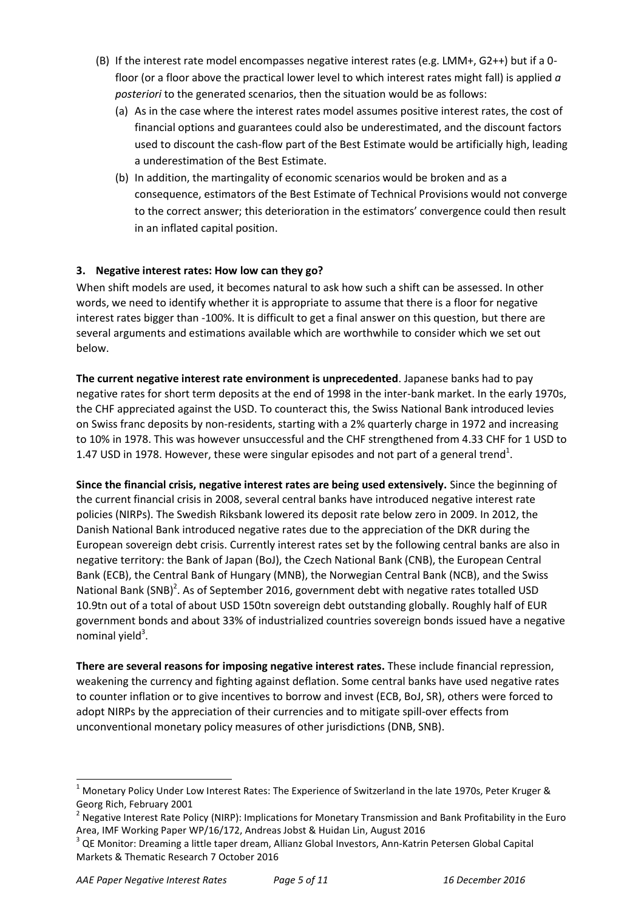- (B) If the interest rate model encompasses negative interest rates (e.g. LMM+, G2++) but if a 0 floor (or a floor above the practical lower level to which interest rates might fall) is applied *a posteriori* to the generated scenarios, then the situation would be as follows:
	- (a) As in the case where the interest rates model assumes positive interest rates, the cost of financial options and guarantees could also be underestimated, and the discount factors used to discount the cash-flow part of the Best Estimate would be artificially high, leading a underestimation of the Best Estimate.
	- (b) In addition, the martingality of economic scenarios would be broken and as a consequence, estimators of the Best Estimate of Technical Provisions would not converge to the correct answer; this deterioration in the estimators' convergence could then result in an inflated capital position.

# **3. Negative interest rates: How low can they go?**

When shift models are used, it becomes natural to ask how such a shift can be assessed. In other words, we need to identify whether it is appropriate to assume that there is a floor for negative interest rates bigger than -100%. It is difficult to get a final answer on this question, but there are several arguments and estimations available which are worthwhile to consider which we set out below.

**The current negative interest rate environment is unprecedented**. Japanese banks had to pay negative rates for short term deposits at the end of 1998 in the inter-bank market. In the early 1970s, the CHF appreciated against the USD. To counteract this, the Swiss National Bank introduced levies on Swiss franc deposits by non-residents, starting with a 2% quarterly charge in 1972 and increasing to 10% in 1978. This was however unsuccessful and the CHF strengthened from 4.33 CHF for 1 USD to 1.47 USD in 1978. However, these were singular episodes and not part of a general trend<sup>1</sup>.

**Since the financial crisis, negative interest rates are being used extensively.** Since the beginning of the current financial crisis in 2008, several central banks have introduced negative interest rate policies (NIRPs). The Swedish Riksbank lowered its deposit rate below zero in 2009. In 2012, the Danish National Bank introduced negative rates due to the appreciation of the DKR during the European sovereign debt crisis. Currently interest rates set by the following central banks are also in negative territory: the Bank of Japan (BoJ), the Czech National Bank (CNB), the European Central Bank (ECB), the Central Bank of Hungary (MNB), the Norwegian Central Bank (NCB), and the Swiss National Bank (SNB)<sup>2</sup>. As of September 2016, government debt with negative rates totalled USD 10.9tn out of a total of about USD 150tn sovereign debt outstanding globally. Roughly half of EUR government bonds and about 33% of industrialized countries sovereign bonds issued have a negative nominal yield<sup>3</sup>.

**There are several reasons for imposing negative interest rates.** These include financial repression, weakening the currency and fighting against deflation. Some central banks have used negative rates to counter inflation or to give incentives to borrow and invest (ECB, BoJ, SR), others were forced to adopt NIRPs by the appreciation of their currencies and to mitigate spill-over effects from unconventional monetary policy measures of other jurisdictions (DNB, SNB).

<sup>&</sup>lt;sup>1</sup> Monetary Policy Under Low Interest Rates: The Experience of Switzerland in the late 1970s, Peter Kruger & Georg Rich, February 2001

<sup>&</sup>lt;sup>2</sup> Negative Interest Rate Policy (NIRP): Implications for Monetary Transmission and Bank Profitability in the Euro Area, IMF Working Paper WP/16/172, Andreas Jobst & Huidan Lin, August 2016

 $3$  QE Monitor: Dreaming a little taper dream, Allianz Global Investors, Ann-Katrin Petersen Global Capital Markets & Thematic Research 7 October 2016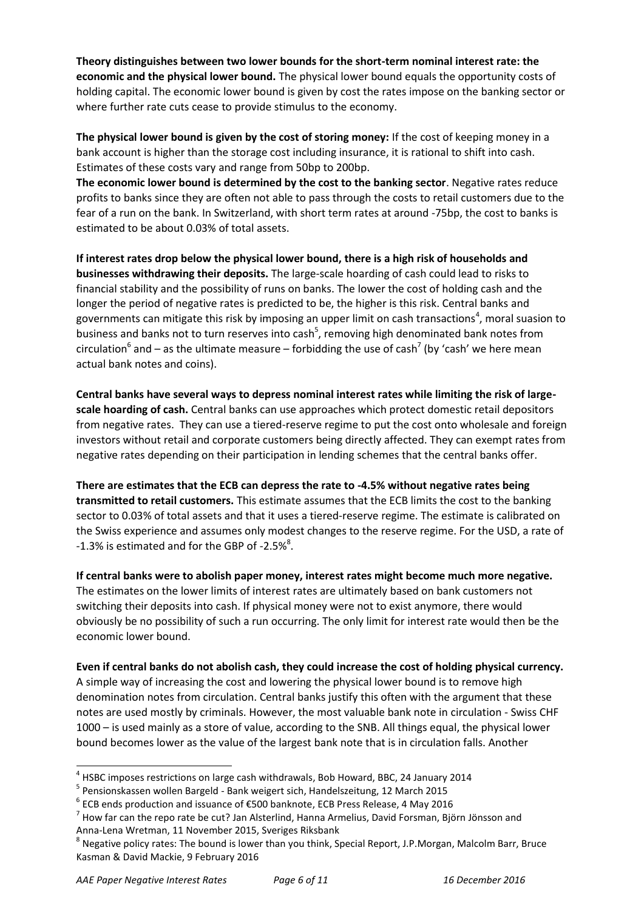**Theory distinguishes between two lower bounds for the short-term nominal interest rate: the economic and the physical lower bound.** The physical lower bound equals the opportunity costs of holding capital. The economic lower bound is given by cost the rates impose on the banking sector or where further rate cuts cease to provide stimulus to the economy.

**The physical lower bound is given by the cost of storing money:** If the cost of keeping money in a bank account is higher than the storage cost including insurance, it is rational to shift into cash. Estimates of these costs vary and range from 50bp to 200bp.

**The economic lower bound is determined by the cost to the banking sector**. Negative rates reduce profits to banks since they are often not able to pass through the costs to retail customers due to the fear of a run on the bank. In Switzerland, with short term rates at around -75bp, the cost to banks is estimated to be about 0.03% of total assets.

**If interest rates drop below the physical lower bound, there is a high risk of households and businesses withdrawing their deposits.** The large-scale hoarding of cash could lead to risks to financial stability and the possibility of runs on banks. The lower the cost of holding cash and the longer the period of negative rates is predicted to be, the higher is this risk. Central banks and governments can mitigate this risk by imposing an upper limit on cash transactions<sup>4</sup>, moral suasion to business and banks not to turn reserves into cash<sup>5</sup>, removing high denominated bank notes from circulation<sup>6</sup> and – as the ultimate measure – forbidding the use of cash<sup>7</sup> (by 'cash' we here mean actual bank notes and coins).

**Central banks have several ways to depress nominal interest rates while limiting the risk of largescale hoarding of cash.** Central banks can use approaches which protect domestic retail depositors from negative rates. They can use a tiered-reserve regime to put the cost onto wholesale and foreign investors without retail and corporate customers being directly affected. They can exempt rates from negative rates depending on their participation in lending schemes that the central banks offer.

**There are estimates that the ECB can depress the rate to -4.5% without negative rates being transmitted to retail customers.** This estimate assumes that the ECB limits the cost to the banking sector to 0.03% of total assets and that it uses a tiered-reserve regime. The estimate is calibrated on the Swiss experience and assumes only modest changes to the reserve regime. For the USD, a rate of -1.3% is estimated and for the GBP of -2.5% $8$ .

**If central banks were to abolish paper money, interest rates might become much more negative.** The estimates on the lower limits of interest rates are ultimately based on bank customers not switching their deposits into cash. If physical money were not to exist anymore, there would obviously be no possibility of such a run occurring. The only limit for interest rate would then be the economic lower bound.

**Even if central banks do not abolish cash, they could increase the cost of holding physical currency.** A simple way of increasing the cost and lowering the physical lower bound is to remove high denomination notes from circulation. Central banks justify this often with the argument that these notes are used mostly by criminals. However, the most valuable bank note in circulation - Swiss CHF 1000 – is used mainly as a store of value, according to the SNB. All things equal, the physical lower bound becomes lower as the value of the largest bank note that is in circulation falls. Another

 $^4$  HSBC imposes restrictions on large cash withdrawals, Bob Howard, BBC, 24 January 2014

<sup>&</sup>lt;sup>5</sup> Pensionskassen wollen Bargeld - Bank weigert sich, Handelszeitung, 12 March 2015

 $^6$  ECB ends production and issuance of €500 banknote, ECB Press Release, 4 May 2016

 $^7$  How far can the repo rate be cut? Jan Alsterlind, Hanna Armelius, David Forsman, Björn Jönsson and Anna-Lena Wretman, 11 November 2015, Sveriges Riksbank

 $^8$  Negative policy rates: The bound is lower than you think, Special Report, J.P.Morgan, Malcolm Barr, Bruce Kasman & David Mackie, 9 February 2016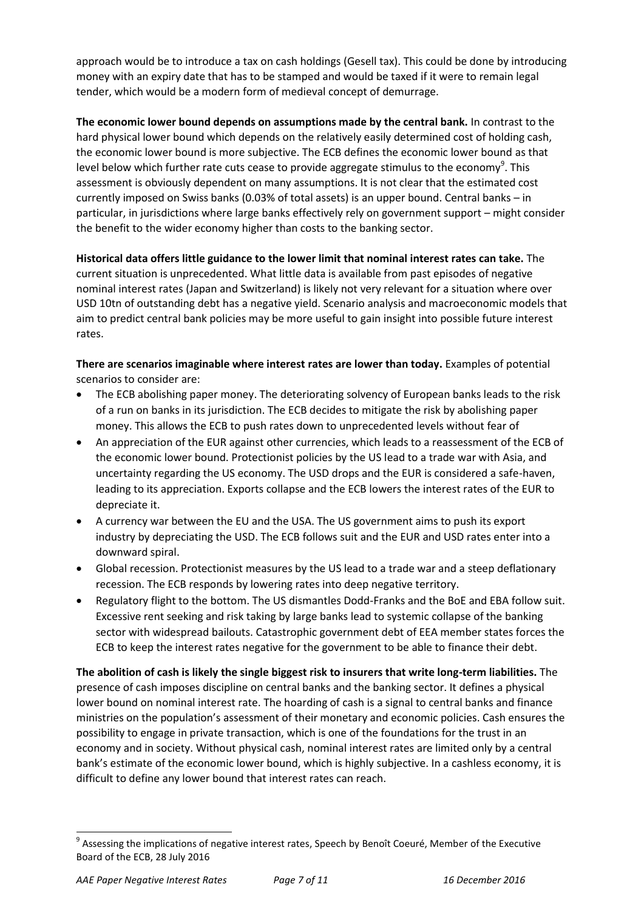approach would be to introduce a tax on cash holdings (Gesell tax). This could be done by introducing money with an expiry date that has to be stamped and would be taxed if it were to remain legal tender, which would be a modern form of medieval concept of demurrage.

**The economic lower bound depends on assumptions made by the central bank.** In contrast to the hard physical lower bound which depends on the relatively easily determined cost of holding cash, the economic lower bound is more subjective. The ECB defines the economic lower bound as that level below which further rate cuts cease to provide aggregate stimulus to the economy $^9$ . This assessment is obviously dependent on many assumptions. It is not clear that the estimated cost currently imposed on Swiss banks (0.03% of total assets) is an upper bound. Central banks – in particular, in jurisdictions where large banks effectively rely on government support – might consider the benefit to the wider economy higher than costs to the banking sector.

**Historical data offers little guidance to the lower limit that nominal interest rates can take.** The current situation is unprecedented. What little data is available from past episodes of negative nominal interest rates (Japan and Switzerland) is likely not very relevant for a situation where over USD 10tn of outstanding debt has a negative yield. Scenario analysis and macroeconomic models that aim to predict central bank policies may be more useful to gain insight into possible future interest rates.

**There are scenarios imaginable where interest rates are lower than today.** Examples of potential scenarios to consider are:

- The ECB abolishing paper money. The deteriorating solvency of European banks leads to the risk of a run on banks in its jurisdiction. The ECB decides to mitigate the risk by abolishing paper money. This allows the ECB to push rates down to unprecedented levels without fear of
- An appreciation of the EUR against other currencies, which leads to a reassessment of the ECB of the economic lower bound. Protectionist policies by the US lead to a trade war with Asia, and uncertainty regarding the US economy. The USD drops and the EUR is considered a safe-haven, leading to its appreciation. Exports collapse and the ECB lowers the interest rates of the EUR to depreciate it.
- A currency war between the EU and the USA. The US government aims to push its export industry by depreciating the USD. The ECB follows suit and the EUR and USD rates enter into a downward spiral.
- Global recession. Protectionist measures by the US lead to a trade war and a steep deflationary recession. The ECB responds by lowering rates into deep negative territory.
- Regulatory flight to the bottom. The US dismantles Dodd-Franks and the BoE and EBA follow suit. Excessive rent seeking and risk taking by large banks lead to systemic collapse of the banking sector with widespread bailouts. Catastrophic government debt of EEA member states forces the ECB to keep the interest rates negative for the government to be able to finance their debt.

**The abolition of cash is likely the single biggest risk to insurers that write long-term liabilities.** The presence of cash imposes discipline on central banks and the banking sector. It defines a physical lower bound on nominal interest rate. The hoarding of cash is a signal to central banks and finance ministries on the population's assessment of their monetary and economic policies. Cash ensures the possibility to engage in private transaction, which is one of the foundations for the trust in an economy and in society. Without physical cash, nominal interest rates are limited only by a central bank's estimate of the economic lower bound, which is highly subjective. In a cashless economy, it is difficult to define any lower bound that interest rates can reach.

<sup>&</sup>lt;sup>9</sup> Assessing the implications of negative interest rates, Speech by Benoît Coeuré, Member of the Executive Board of the ECB, 28 July 2016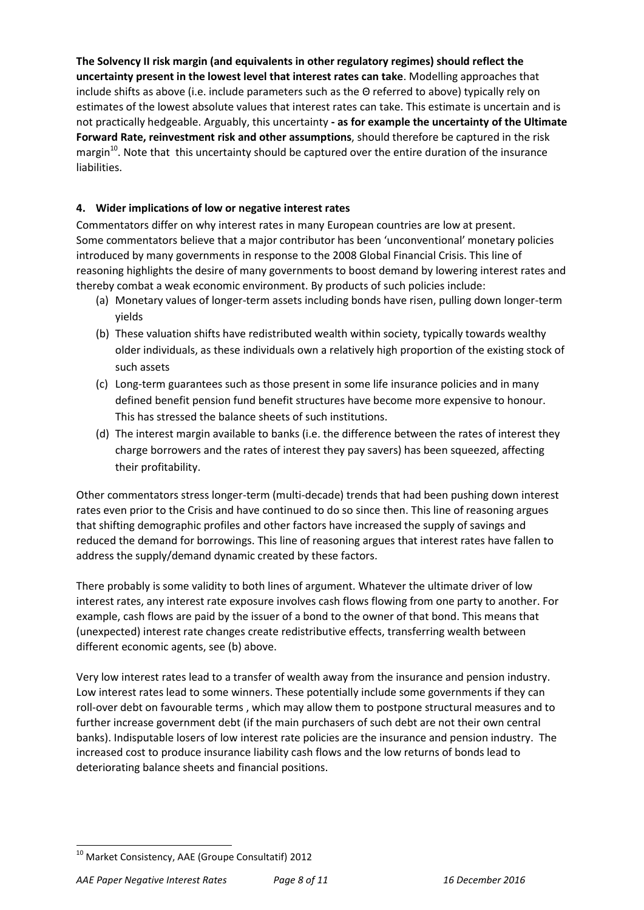**The Solvency II risk margin (and equivalents in other regulatory regimes) should reflect the uncertainty present in the lowest level that interest rates can take**. Modelling approaches that include shifts as above (i.e. include parameters such as the Θ referred to above) typically rely on estimates of the lowest absolute values that interest rates can take. This estimate is uncertain and is not practically hedgeable. Arguably, this uncertainty **- as for example the uncertainty of the Ultimate Forward Rate, reinvestment risk and other assumptions**, should therefore be captured in the risk margin<sup>10</sup>. Note that this uncertainty should be captured over the entire duration of the insurance liabilities.

# **4. Wider implications of low or negative interest rates**

Commentators differ on why interest rates in many European countries are low at present. Some commentators believe that a major contributor has been 'unconventional' monetary policies introduced by many governments in response to the 2008 Global Financial Crisis. This line of reasoning highlights the desire of many governments to boost demand by lowering interest rates and thereby combat a weak economic environment. By products of such policies include:

- (a) Monetary values of longer-term assets including bonds have risen, pulling down longer-term yields
- (b) These valuation shifts have redistributed wealth within society, typically towards wealthy older individuals, as these individuals own a relatively high proportion of the existing stock of such assets
- (c) Long-term guarantees such as those present in some life insurance policies and in many defined benefit pension fund benefit structures have become more expensive to honour. This has stressed the balance sheets of such institutions.
- (d) The interest margin available to banks (i.e. the difference between the rates of interest they charge borrowers and the rates of interest they pay savers) has been squeezed, affecting their profitability.

Other commentators stress longer-term (multi-decade) trends that had been pushing down interest rates even prior to the Crisis and have continued to do so since then. This line of reasoning argues that shifting demographic profiles and other factors have increased the supply of savings and reduced the demand for borrowings. This line of reasoning argues that interest rates have fallen to address the supply/demand dynamic created by these factors.

There probably is some validity to both lines of argument. Whatever the ultimate driver of low interest rates, any interest rate exposure involves cash flows flowing from one party to another. For example, cash flows are paid by the issuer of a bond to the owner of that bond. This means that (unexpected) interest rate changes create redistributive effects, transferring wealth between different economic agents, see (b) above.

Very low interest rates lead to a transfer of wealth away from the insurance and pension industry. Low interest rates lead to some winners. These potentially include some governments if they can roll-over debt on favourable terms , which may allow them to postpone structural measures and to further increase government debt (if the main purchasers of such debt are not their own central banks). Indisputable losers of low interest rate policies are the insurance and pension industry. The increased cost to produce insurance liability cash flows and the low returns of bonds lead to deteriorating balance sheets and financial positions.

 $^{10}$  Market Consistency, AAE (Groupe Consultatif) 2012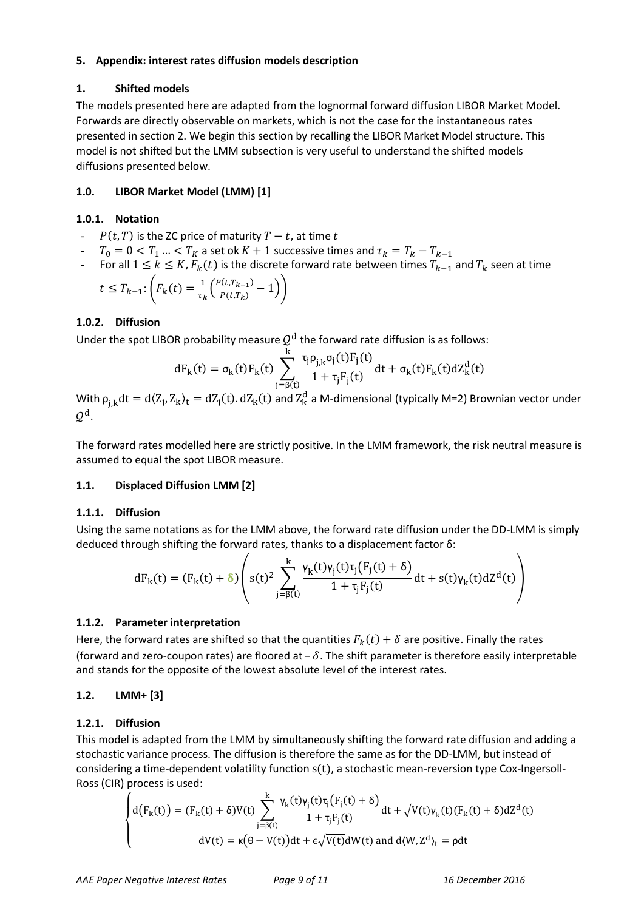#### **5. Appendix: interest rates diffusion models description**

# **1. Shifted models**

The models presented here are adapted from the lognormal forward diffusion LIBOR Market Model. Forwards are directly observable on markets, which is not the case for the instantaneous rates presented in section 2. We begin this section by recalling the LIBOR Market Model structure. This model is not shifted but the LMM subsection is very useful to understand the shifted models diffusions presented below.

# **1.0. LIBOR Market Model (LMM) [1]**

#### **1.0.1. Notation**

- $P(t, T)$  is the ZC price of maturity  $T t$ , at time t
- $T_0 = 0 < T_1 ... < T_K$  a set ok  $K + 1$  successive times and  $\tau_k = T_k T_{k-1}$
- For all  $1 \le k \le K$ ,  $F_k(t)$  is the discrete forward rate between times  $T_{k-1}$  and  $T_k$  seen at time

$$
t \leq T_{k-1} \cdot \left( F_k(t) = \frac{1}{\tau_k} \left( \frac{P(t, T_{k-1})}{P(t, T_k)} - 1 \right) \right)
$$

# **1.0.2. Diffusion**

Under the spot LIBOR probability measure  $\mathcal{Q}^{\text{d}}$  the forward rate diffusion is as follows:

$$
dF_k(t) = \sigma_k(t)F_k(t)\sum_{j=\beta(t)}^k \frac{\tau_j\rho_{j,k}\sigma_j(t)F_j(t)}{1+\tau_jF_j(t)}dt + \sigma_k(t)F_k(t)dZ_k^d(t)
$$

With  $\rho_{i,k}dt = d\langle Z_i, Z_k \rangle_t = dZ_i(t)$ .  $dZ_k(t)$  and  $Z_k^d$  a M-dimensional (typically M=2) Brownian vector under  $\mathcal{Q}^{\text{d}}.$ 

The forward rates modelled here are strictly positive. In the LMM framework, the risk neutral measure is assumed to equal the spot LIBOR measure.

# **1.1. Displaced Diffusion LMM [2]**

# **1.1.1. Diffusion**

Using the same notations as for the LMM above, the forward rate diffusion under the DD-LMM is simply deduced through shifting the forward rates, thanks to a displacement factor  $\delta$ :

$$
dF_k(t) = (F_k(t) + \delta) \left( s(t)^2 \sum_{j=\beta(t)}^k \frac{\gamma_k(t)\gamma_j(t)\tau_j(F_j(t) + \delta)}{1 + \tau_j F_j(t)} dt + s(t)\gamma_k(t) dZ^d(t) \right)
$$

# **1.1.2. Parameter interpretation**

Here, the forward rates are shifted so that the quantities  $F_k(t) + \delta$  are positive. Finally the rates (forward and zero-coupon rates) are floored at  $-\delta$ . The shift parameter is therefore easily interpretable and stands for the opposite of the lowest absolute level of the interest rates.

# **1.2. LMM+ [3]**

# **1.2.1. Diffusion**

This model is adapted from the LMM by simultaneously shifting the forward rate diffusion and adding a stochastic variance process. The diffusion is therefore the same as for the DD-LMM, but instead of considering a time-dependent volatility function  $s(t)$ , a stochastic mean-reversion type Cox-Ingersoll-Ross (CIR) process is used:

$$
\begin{cases} d\big(F_k(t)\big)=(F_k(t)+\delta) V(t)\displaystyle\sum_{j=\beta(t)}^k \frac{\gamma_k(t)\gamma_j(t)\tau_j\big(F_j(t)+\delta\big)}{1+\tau_jF_j(t)}dt+\sqrt{V(t)}\gamma_k(t)(F_k(t)+\delta)dZ^d(t) \\ \qquad \qquad \mathrm{d} V(t)=\kappa\big(\theta-V(t)\big)dt+\varepsilon\sqrt{V(t)}dW(t)\text{ and }d\langle W,Z^d\rangle_t=\rho dt \end{cases}
$$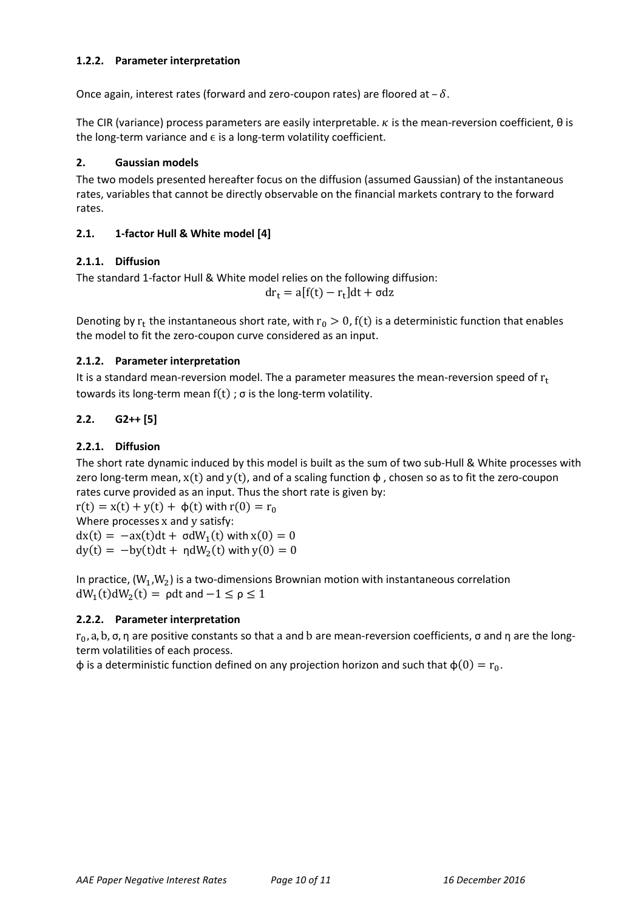#### **1.2.2. Parameter interpretation**

Once again, interest rates (forward and zero-coupon rates) are floored at  $-\delta$ .

The CIR (variance) process parameters are easily interpretable.  $\kappa$  is the mean-reversion coefficient,  $\theta$  is the long-term variance and  $\epsilon$  is a long-term volatility coefficient.

#### **2. Gaussian models**

The two models presented hereafter focus on the diffusion (assumed Gaussian) of the instantaneous rates, variables that cannot be directly observable on the financial markets contrary to the forward rates.

# **2.1. 1-factor Hull & White model [4]**

#### **2.1.1. Diffusion**

The standard 1-factor Hull & White model relies on the following diffusion:

$$
dr_t = a[f(t) - r_t]dt + \sigma dz
$$

Denoting by  $r_t$  the instantaneous short rate, with  $r_0 > 0$ , f(t) is a deterministic function that enables the model to fit the zero-coupon curve considered as an input.

#### **2.1.2. Parameter interpretation**

It is a standard mean-reversion model. The a parameter measures the mean-reversion speed of  $r_t$ towards its long-term mean  $f(t)$ ;  $\sigma$  is the long-term volatility.

#### **2.2. G2++ [5]**

# **2.2.1. Diffusion**

The short rate dynamic induced by this model is built as the sum of two sub-Hull & White processes with zero long-term mean,  $x(t)$  and  $y(t)$ , and of a scaling function  $\phi$ , chosen so as to fit the zero-coupon rates curve provided as an input. Thus the short rate is given by:

 $r(t) = x(t) + y(t) + \phi(t)$  with  $r(0) = r_0$ Where processes  $x$  and  $y$  satisfy:  $dx(t) = -ax(t)dt + \sigma dW_1(t)$  with  $dy(t) = -by(t)dt + \eta dW_2(t)$  with

In practice,  $(W_1, W_2)$  is a two-dimensions Brownian motion with instantaneous correlation  $dW_1(t)dW_2(t) = \rho dt$  and

#### **2.2.2. Parameter interpretation**

 $r_0$ , a, b,  $\sigma$ ,  $\eta$  are positive constants so that a and b are mean-reversion coefficients,  $\sigma$  and  $\eta$  are the longterm volatilities of each process.

 $\phi$  is a deterministic function defined on any projection horizon and such that  $\phi(0) = r_0$ .